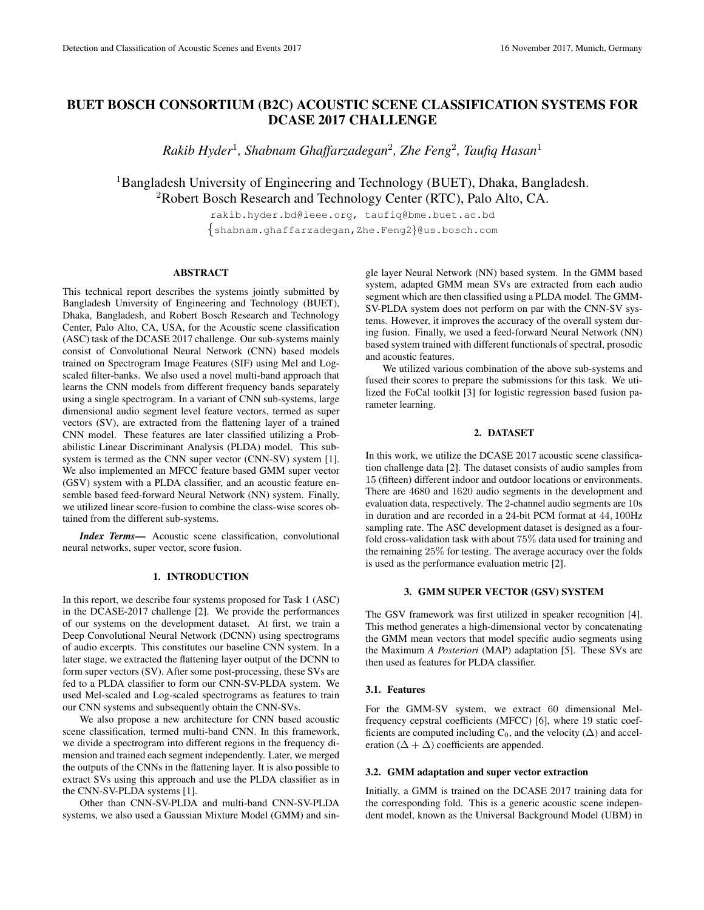# BUET BOSCH CONSORTIUM (B2C) ACOUSTIC SCENE CLASSIFICATION SYSTEMS FOR DCASE 2017 CHALLENGE

*Rakib Hyder*<sup>1</sup> *, Shabnam Ghaffarzadegan*<sup>2</sup> *, Zhe Feng*<sup>2</sup> *, Taufiq Hasan*<sup>1</sup>

<sup>1</sup>Bangladesh University of Engineering and Technology (BUET), Dhaka, Bangladesh.  ${}^{2}$ Robert Bosch Research and Technology Center (RTC), Palo Alto, CA.

> rakib.hyder.bd@ieee.org, taufiq@bme.buet.ac.bd {shabnam.ghaffarzadegan,Zhe.Feng2}@us.bosch.com

## **ABSTRACT**

This technical report describes the systems jointly submitted by Bangladesh University of Engineering and Technology (BUET), Dhaka, Bangladesh, and Robert Bosch Research and Technology Center, Palo Alto, CA, USA, for the Acoustic scene classification (ASC) task of the DCASE 2017 challenge. Our sub-systems mainly consist of Convolutional Neural Network (CNN) based models trained on Spectrogram Image Features (SIF) using Mel and Logscaled filter-banks. We also used a novel multi-band approach that learns the CNN models from different frequency bands separately using a single spectrogram. In a variant of CNN sub-systems, large dimensional audio segment level feature vectors, termed as super vectors (SV), are extracted from the flattening layer of a trained CNN model. These features are later classified utilizing a Probabilistic Linear Discriminant Analysis (PLDA) model. This subsystem is termed as the CNN super vector (CNN-SV) system [1]. We also implemented an MFCC feature based GMM super vector (GSV) system with a PLDA classifier, and an acoustic feature ensemble based feed-forward Neural Network (NN) system. Finally, we utilized linear score-fusion to combine the class-wise scores obtained from the different sub-systems.

*Index Terms*— Acoustic scene classification, convolutional neural networks, super vector, score fusion.

## 1. INTRODUCTION

In this report, we describe four systems proposed for Task 1 (ASC) in the DCASE-2017 challenge [2]. We provide the performances of our systems on the development dataset. At first, we train a Deep Convolutional Neural Network (DCNN) using spectrograms of audio excerpts. This constitutes our baseline CNN system. In a later stage, we extracted the flattening layer output of the DCNN to form super vectors (SV). After some post-processing, these SVs are fed to a PLDA classifier to form our CNN-SV-PLDA system. We used Mel-scaled and Log-scaled spectrograms as features to train our CNN systems and subsequently obtain the CNN-SVs.

We also propose a new architecture for CNN based acoustic scene classification, termed multi-band CNN. In this framework, we divide a spectrogram into different regions in the frequency dimension and trained each segment independently. Later, we merged the outputs of the CNNs in the flattening layer. It is also possible to extract SVs using this approach and use the PLDA classifier as in the CNN-SV-PLDA systems [1].

Other than CNN-SV-PLDA and multi-band CNN-SV-PLDA systems, we also used a Gaussian Mixture Model (GMM) and sin-

gle layer Neural Network (NN) based system. In the GMM based system, adapted GMM mean SVs are extracted from each audio segment which are then classified using a PLDA model. The GMM-SV-PLDA system does not perform on par with the CNN-SV systems. However, it improves the accuracy of the overall system during fusion. Finally, we used a feed-forward Neural Network (NN) based system trained with different functionals of spectral, prosodic and acoustic features.

We utilized various combination of the above sub-systems and fused their scores to prepare the submissions for this task. We utilized the FoCal toolkit [3] for logistic regression based fusion parameter learning.

## 2. DATASET

In this work, we utilize the DCASE 2017 acoustic scene classification challenge data [2]. The dataset consists of audio samples from 15 (fifteen) different indoor and outdoor locations or environments. There are 4680 and 1620 audio segments in the development and evaluation data, respectively. The 2-channel audio segments are 10s in duration and are recorded in a 24-bit PCM format at 44, 100Hz sampling rate. The ASC development dataset is designed as a fourfold cross-validation task with about 75% data used for training and the remaining 25% for testing. The average accuracy over the folds is used as the performance evaluation metric [2].

## 3. GMM SUPER VECTOR (GSV) SYSTEM

The GSV framework was first utilized in speaker recognition [4]. This method generates a high-dimensional vector by concatenating the GMM mean vectors that model specific audio segments using the Maximum *A Posteriori* (MAP) adaptation [5]. These SVs are then used as features for PLDA classifier.

### 3.1. Features

For the GMM-SV system, we extract 60 dimensional Melfrequency cepstral coefficients (MFCC) [6], where 19 static coefficients are computed including  $C_0$ , and the velocity ( $\Delta$ ) and acceleration ( $\Delta + \Delta$ ) coefficients are appended.

#### 3.2. GMM adaptation and super vector extraction

Initially, a GMM is trained on the DCASE 2017 training data for the corresponding fold. This is a generic acoustic scene independent model, known as the Universal Background Model (UBM) in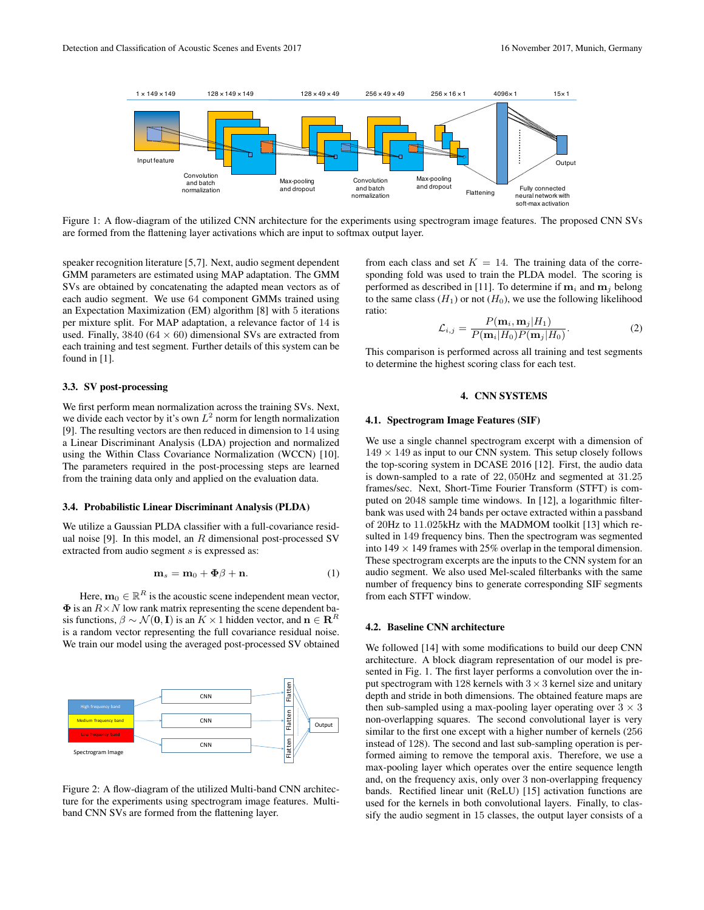

Figure 1: A flow-diagram of the utilized CNN architecture for the experiments using spectrogram image features. The proposed CNN SVs are formed from the flattening layer activations which are input to softmax output layer.

speaker recognition literature [5,7]. Next, audio segment dependent GMM parameters are estimated using MAP adaptation. The GMM SVs are obtained by concatenating the adapted mean vectors as of each audio segment. We use 64 component GMMs trained using an Expectation Maximization (EM) algorithm [8] with 5 iterations per mixture split. For MAP adaptation, a relevance factor of 14 is used. Finally,  $3840 (64 \times 60)$  dimensional SVs are extracted from each training and test segment. Further details of this system can be found in [1].

#### 3.3. SV post-processing

We first perform mean normalization across the training SVs. Next, we divide each vector by it's own  $L^2$  norm for length normalization [9]. The resulting vectors are then reduced in dimension to 14 using a Linear Discriminant Analysis (LDA) projection and normalized using the Within Class Covariance Normalization (WCCN) [10]. The parameters required in the post-processing steps are learned from the training data only and applied on the evaluation data.

#### 3.4. Probabilistic Linear Discriminant Analysis (PLDA)

We utilize a Gaussian PLDA classifier with a full-covariance residual noise [9]. In this model, an  $R$  dimensional post-processed SV extracted from audio segment s is expressed as:

$$
\mathbf{m}_s = \mathbf{m}_0 + \mathbf{\Phi}\beta + \mathbf{n}.\tag{1}
$$

Here,  $\mathbf{m}_0 \in \mathbb{R}^R$  is the acoustic scene independent mean vector,  $\Phi$  is an  $R \times N$  low rank matrix representing the scene dependent basis functions,  $\beta \sim \mathcal{N}(\mathbf{0}, \mathbf{I})$  is an  $K \times 1$  hidden vector, and  $\mathbf{n} \in \mathbb{R}^R$ is a random vector representing the full covariance residual noise. We train our model using the averaged post-processed SV obtained



Figure 2: A flow-diagram of the utilized Multi-band CNN architecture for the experiments using spectrogram image features. Multiband CNN SVs are formed from the flattening layer.

from each class and set  $K = 14$ . The training data of the corresponding fold was used to train the PLDA model. The scoring is performed as described in [11]. To determine if  $m_i$  and  $m_j$  belong to the same class  $(H_1)$  or not  $(H_0)$ , we use the following likelihood ratio:

$$
\mathcal{L}_{i,j} = \frac{P(\mathbf{m}_i, \mathbf{m}_j | H_1)}{P(\mathbf{m}_i | H_0) P(\mathbf{m}_j | H_0)}.
$$
(2)

This comparison is performed across all training and test segments to determine the highest scoring class for each test.

## 4. CNN SYSTEMS

#### 4.1. Spectrogram Image Features (SIF)

We use a single channel spectrogram excerpt with a dimension of  $149 \times 149$  as input to our CNN system. This setup closely follows the top-scoring system in DCASE 2016 [12]. First, the audio data is down-sampled to a rate of 22, 050Hz and segmented at 31.25 frames/sec. Next, Short-Time Fourier Transform (STFT) is computed on 2048 sample time windows. In [12], a logarithmic filterbank was used with 24 bands per octave extracted within a passband of 20Hz to 11.025kHz with the MADMOM toolkit [13] which resulted in 149 frequency bins. Then the spectrogram was segmented into  $149 \times 149$  frames with 25% overlap in the temporal dimension. These spectrogram excerpts are the inputs to the CNN system for an audio segment. We also used Mel-scaled filterbanks with the same number of frequency bins to generate corresponding SIF segments from each STFT window.

#### 4.2. Baseline CNN architecture

We followed [14] with some modifications to build our deep CNN architecture. A block diagram representation of our model is presented in Fig. 1. The first layer performs a convolution over the input spectrogram with 128 kernels with  $3 \times 3$  kernel size and unitary depth and stride in both dimensions. The obtained feature maps are then sub-sampled using a max-pooling layer operating over  $3 \times 3$ non-overlapping squares. The second convolutional layer is very similar to the first one except with a higher number of kernels (256 instead of 128). The second and last sub-sampling operation is performed aiming to remove the temporal axis. Therefore, we use a max-pooling layer which operates over the entire sequence length and, on the frequency axis, only over 3 non-overlapping frequency bands. Rectified linear unit (ReLU) [15] activation functions are used for the kernels in both convolutional layers. Finally, to classify the audio segment in 15 classes, the output layer consists of a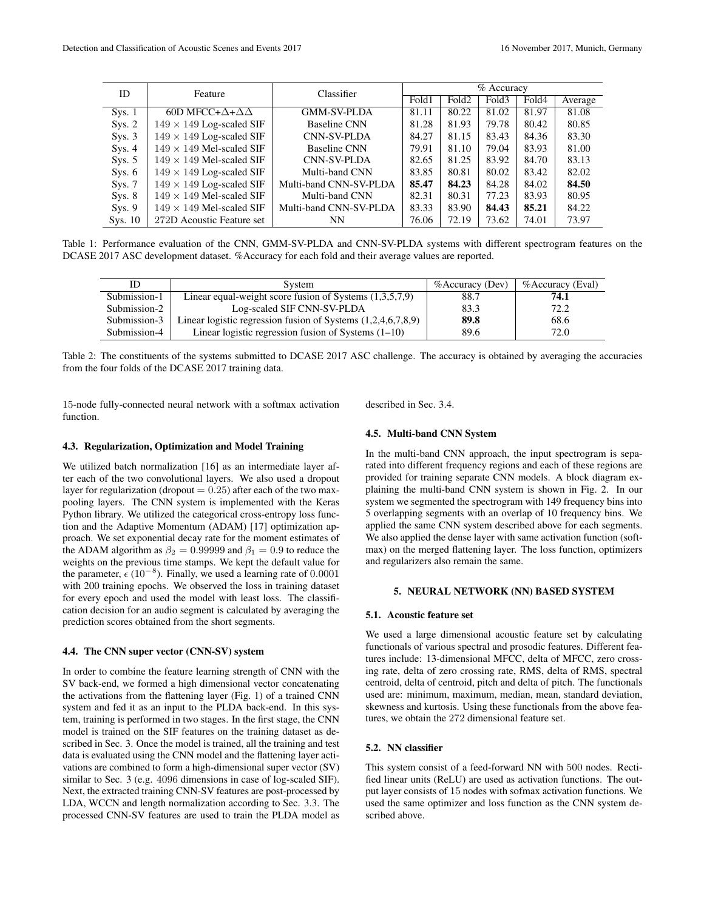| ID      | Feature                             | Classifier             | % Accuracy |                   |       |       |         |
|---------|-------------------------------------|------------------------|------------|-------------------|-------|-------|---------|
|         |                                     |                        | Fold1      | Fold <sub>2</sub> | Fold3 | Fold4 | Average |
| Sys. 1  | 60D MFCC+ $\Delta$ + $\Delta\Delta$ | <b>GMM-SV-PLDA</b>     | 81.11      | 80.22             | 81.02 | 81.97 | 81.08   |
| Sys. 2  | $149 \times 149$ Log-scaled SIF     | <b>Baseline CNN</b>    | 81.28      | 81.93             | 79.78 | 80.42 | 80.85   |
| Sys. 3  | $149 \times 149$ Log-scaled SIF     | <b>CNN-SV-PLDA</b>     | 84.27      | 81.15             | 83.43 | 84.36 | 83.30   |
| Sys. 4  | $149 \times 149$ Mel-scaled SIF     | <b>Baseline CNN</b>    | 79.91      | 81.10             | 79.04 | 83.93 | 81.00   |
| Sys. 5  | $149 \times 149$ Mel-scaled SIF     | <b>CNN-SV-PLDA</b>     | 82.65      | 81.25             | 83.92 | 84.70 | 83.13   |
| Sys. 6  | $149 \times 149$ Log-scaled SIF     | Multi-band CNN         | 83.85      | 80.81             | 80.02 | 83.42 | 82.02   |
| Sys. 7  | $149 \times 149$ Log-scaled SIF     | Multi-band CNN-SV-PLDA | 85.47      | 84.23             | 84.28 | 84.02 | 84.50   |
| Sys. 8  | $149 \times 149$ Mel-scaled SIF     | Multi-band CNN         | 82.31      | 80.31             | 77.23 | 83.93 | 80.95   |
| Sys. 9  | $149 \times 149$ Mel-scaled SIF     | Multi-band CNN-SV-PLDA | 83.33      | 83.90             | 84.43 | 85.21 | 84.22   |
| Sys. 10 | 272D Acoustic Feature set           | NN                     | 76.06      | 72.19             | 73.62 | 74.01 | 73.97   |

Table 1: Performance evaluation of the CNN, GMM-SV-PLDA and CNN-SV-PLDA systems with different spectrogram features on the DCASE 2017 ASC development dataset. %Accuracy for each fold and their average values are reported.

| ΙD           | System                                                         | $%$ Accuracy (Dev) | %Accuracy (Eval) |
|--------------|----------------------------------------------------------------|--------------------|------------------|
| Submission-1 | Linear equal-weight score fusion of Systems $(1,3,5,7,9)$      | 88.7               | 74.1             |
| Submission-2 | Log-scaled SIF CNN-SV-PLDA                                     | 83.3               | 72.2             |
| Submission-3 | Linear logistic regression fusion of Systems $(1,2,4,6,7,8,9)$ | 89.8               | 68.6             |
| Submission-4 | Linear logistic regression fusion of Systems $(1-10)$          | 89.6               | 72.0             |

Table 2: The constituents of the systems submitted to DCASE 2017 ASC challenge. The accuracy is obtained by averaging the accuracies from the four folds of the DCASE 2017 training data.

15-node fully-connected neural network with a softmax activation function.

described in Sec. 3.4.

#### 4.3. Regularization, Optimization and Model Training

We utilized batch normalization [16] as an intermediate layer after each of the two convolutional layers. We also used a dropout layer for regularization (dropout  $= 0.25$ ) after each of the two maxpooling layers. The CNN system is implemented with the Keras Python library. We utilized the categorical cross-entropy loss function and the Adaptive Momentum (ADAM) [17] optimization approach. We set exponential decay rate for the moment estimates of the ADAM algorithm as  $\beta_2 = 0.99999$  and  $\beta_1 = 0.9$  to reduce the weights on the previous time stamps. We kept the default value for the parameter,  $\epsilon$  (10<sup>-8</sup>). Finally, we used a learning rate of 0.0001 with 200 training epochs. We observed the loss in training dataset for every epoch and used the model with least loss. The classification decision for an audio segment is calculated by averaging the prediction scores obtained from the short segments.

#### 4.4. The CNN super vector (CNN-SV) system

In order to combine the feature learning strength of CNN with the SV back-end, we formed a high dimensional vector concatenating the activations from the flattening layer (Fig. 1) of a trained CNN system and fed it as an input to the PLDA back-end. In this system, training is performed in two stages. In the first stage, the CNN model is trained on the SIF features on the training dataset as described in Sec. 3. Once the model is trained, all the training and test data is evaluated using the CNN model and the flattening layer activations are combined to form a high-dimensional super vector (SV) similar to Sec. 3 (e.g. 4096 dimensions in case of log-scaled SIF). Next, the extracted training CNN-SV features are post-processed by LDA, WCCN and length normalization according to Sec. 3.3. The processed CNN-SV features are used to train the PLDA model as

#### 4.5. Multi-band CNN System

In the multi-band CNN approach, the input spectrogram is separated into different frequency regions and each of these regions are provided for training separate CNN models. A block diagram explaining the multi-band CNN system is shown in Fig. 2. In our system we segmented the spectrogram with 149 frequency bins into 5 overlapping segments with an overlap of 10 frequency bins. We applied the same CNN system described above for each segments. We also applied the dense layer with same activation function (softmax) on the merged flattening layer. The loss function, optimizers and regularizers also remain the same.

#### 5. NEURAL NETWORK (NN) BASED SYSTEM

#### 5.1. Acoustic feature set

We used a large dimensional acoustic feature set by calculating functionals of various spectral and prosodic features. Different features include: 13-dimensional MFCC, delta of MFCC, zero crossing rate, delta of zero crossing rate, RMS, delta of RMS, spectral centroid, delta of centroid, pitch and delta of pitch. The functionals used are: minimum, maximum, median, mean, standard deviation, skewness and kurtosis. Using these functionals from the above features, we obtain the 272 dimensional feature set.

#### 5.2. NN classifier

This system consist of a feed-forward NN with 500 nodes. Rectified linear units (ReLU) are used as activation functions. The output layer consists of 15 nodes with sofmax activation functions. We used the same optimizer and loss function as the CNN system described above.